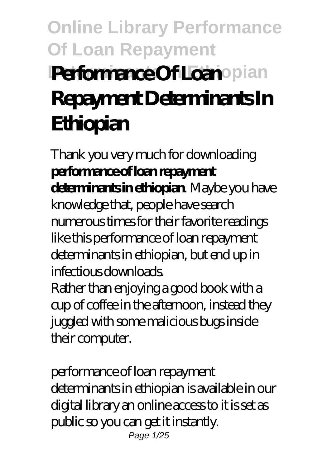## **Online Library Performance Of Loan Repayment Performance Of Loan**opian **Repayment Determinants In Ethiopian**

Thank you very much for downloading **performance of loan repayment determinants in ethiopian**. Maybe you have knowledge that, people have search numerous times for their favorite readings like this performance of loan repayment determinants in ethiopian, but end up in infectious downloads. Rather than enjoying a good book with a cup of coffee in the afternoon, instead they juggled with some malicious bugs inside their computer.

performance of loan repayment determinants in ethiopian is available in our digital library an online access to it is set as public so you can get it instantly. Page 1/25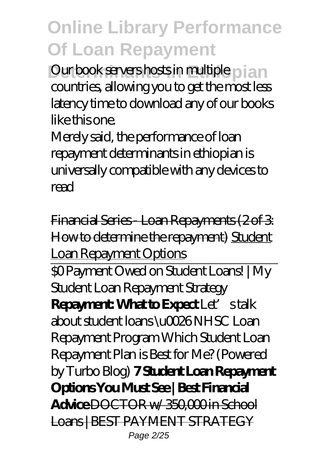**Our book servers hosts in multiple pian** countries, allowing you to get the most less latency time to download any of our books like this one.

Merely said, the performance of loan repayment determinants in ethiopian is universally compatible with any devices to read

Financial Series - Loan Repayments (2 of 3: How to determine the repayment) Student Loan Repayment Options \$0 Payment Owed on Student Loans! | My Student Loan Repayment Strategy **Repayment: What to Expect** Let's talk about student loans \u0026 NHSC Loan Repayment Program *Which Student Loan Repayment Plan is Best for Me? (Powered by Turbo Blog)* **7 Student Loan Repayment Options You Must See | Best Financial Advice** DOCTOR w/ 350,000 in School Loans | BEST PAYMENT STRATEGY Page 2/25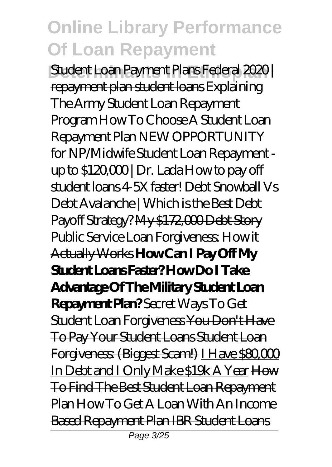**Student Loan Payment Plans Federal 2020** repayment plan student loans *Explaining The Army Student Loan Repayment Program How To Choose A Student Loan Repayment Plan NEW OPPORTUNITY for NP/Midwife Student Loan Repayment up to \$120,000 | Dr. Lada How to pay off student loans 4-5X faster! Debt Snowball Vs Debt Avalanche | Which is the Best Debt Payoff Strategy?* My \$172,000 Debt Story Public Service Loan Forgiveness: How it Actually Works **How Can I Pay Off My Student Loans Faster? How Do I Take Advantage Of The Military Student Loan Repayment Plan?** *Secret Ways To Get Student Loan Forgiveness* You Don't Have To Pay Your Student Loans Student Loan Forgiveness: (Biggest Scam!) I Have \$80,000 In Debt and I Only Make \$19k A Year How To Find The Best Student Loan Repayment Plan How To Get A Loan With An Income Based Repayment Plan IBR Student Loans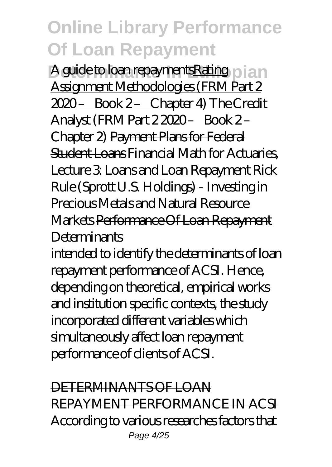A guide to loan repayments Rating **pian** Assignment Methodologies (FRM Part 2 2020 – Book 2 – Chapter 4) *The Credit Analyst (FRM Part 2 2020 – Book 2 – Chapter 2)* Payment Plans for Federal Student Loans *Financial Math for Actuaries, Lecture 3: Loans and Loan Repayment* Rick Rule (Sprott U.S. Holdings) - Investing in Precious Metals and Natural Resource Markets Performance Of Loan Repayment **Determinants** 

intended to identify the determinants of loan repayment performance of ACSI. Hence, depending on theoretical, empirical works and institution specific contexts, the study incorporated different variables which simultaneously affect loan repayment performance of clients of ACSI.

DETERMINANTS OF LOAN REPAYMENT PERFORMANCE IN ACSI According to various researches factors that Page 4/25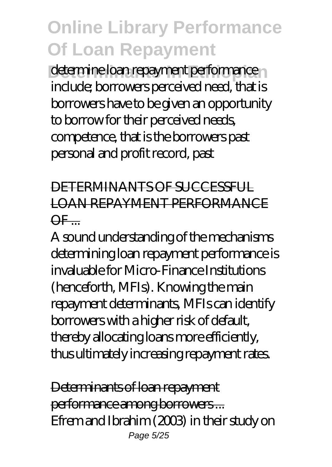determine loan repayment performance n include; borrowers perceived need, that is borrowers have to be given an opportunity to borrow for their perceived needs, competence, that is the borrowers past personal and profit record, past

#### DETERMINANTS OF SUCCESSFUL LOAN REPAYMENT PERFORMANCE  $\overline{\overline{\mathsf{QF}}}$

A sound understanding of the mechanisms determining loan repayment performance is invaluable for Micro-Finance Institutions (henceforth, MFIs). Knowing the main repayment determinants, MFIs can identify borrowers with a higher risk of default, thereby allocating loans more efficiently, thus ultimately increasing repayment rates.

Determinants of loan repayment performance among borrowers ... Efrem and Ibrahim (2003) in their study on Page 5/25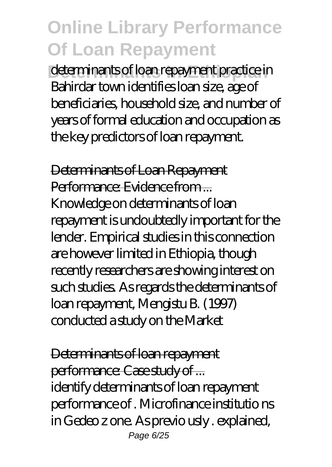determinants of loan repayment practice in Bahirdar town identifies loan size, age of beneficiaries, household size, and number of years of formal education and occupation as the key predictors of loan repayment.

Determinants of Loan Repayment Performance: Evidence from ... Knowledge on determinants of loan repayment is undoubtedly important for the lender. Empirical studies in this connection are however limited in Ethiopia, though recently researchers are showing interest on such studies. As regards the determinants of loan repayment, Mengistu B. (1997) conducted a study on the Market

Determinants of loan repayment performance: Case study of ... identify determinants of loan repayment performance of . Microfinance institutio ns in Gedeo z one. As previo usly . explained, Page 6/25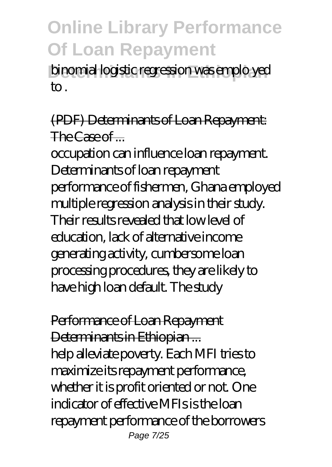binomial logistic regression was emplo yed to .

#### (PDF) Determinants of Loan Repayment: The Case of  $-$

occupation can influence loan repayment. Determinants of loan repayment performance of fishermen, Ghana employed multiple regression analysis in their study. Their results revealed that low level of education, lack of alternative income generating activity, cumbersome loan processing procedures, they are likely to have high loan default. The study

Performance of Loan Repayment Determinants in Ethiopian ... help alleviate poverty. Each MFI tries to maximize its repayment performance, whether it is profit oriented or not. One indicator of effective MFIs is the loan repayment performance of the borrowers Page 7/25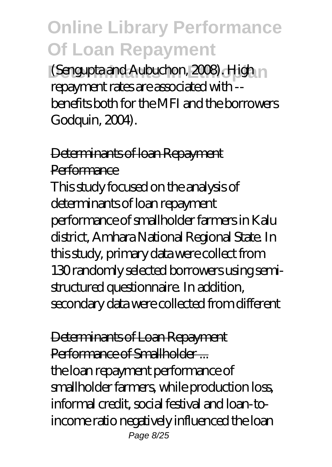**(Sengupta and Aubuchon, 2008). High n** repayment rates are associated with - benefits both for the MFI and the borrowers Godquin, 2004).

Determinants of loan Repayment **Performance** This study focused on the analysis of determinants of loan repayment performance of smallholder farmers in Kalu district, Amhara National Regional State. In this study, primary data were collect from 130 randomly selected borrowers using semistructured questionnaire. In addition, secondary data were collected from different

Determinants of Loan Repayment Performance of Smallholder the loan repayment performance of smallholder farmers, while production loss, informal credit, social festival and loan-toincome ratio negatively influenced the loan Page 8/25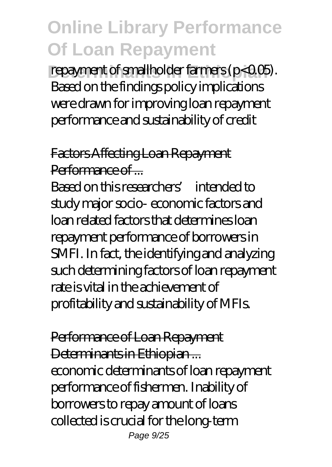repayment of smallholder farmers ( $p<0.05$ ). Based on the findings policy implications were drawn for improving loan repayment performance and sustainability of credit

Factors Affecting Loan Repayment Performance of ...

Based on this researchers' intended to study major socio- economic factors and loan related factors that determines loan repayment performance of borrowers in SMFI. In fact, the identifying and analyzing such determining factors of loan repayment rate is vital in the achievement of profitability and sustainability of MFIs.

Performance of Loan Repayment Determinants in Ethiopian ... economic determinants of loan repayment performance of fishermen. Inability of borrowers to repay amount of loans collected is crucial for the long-term Page 9/25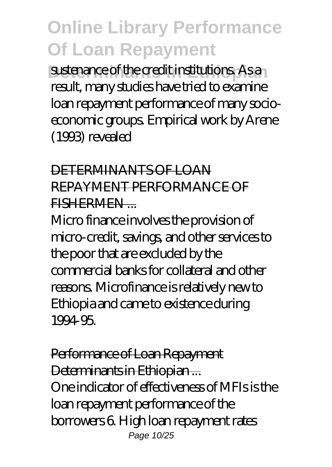sustenance of the credit institutions. As a result, many studies have tried to examine loan repayment performance of many socioeconomic groups. Empirical work by Arene (1993) revealed

#### DETERMINANTS OF LOAN REPAYMENT PERFORMANCE OF FISHERMEN ...

Micro finance involves the provision of micro-credit, savings, and other services to the poor that are excluded by the commercial banks for collateral and other reasons. Microfinance is relatively new to Ethiopia and came to existence during 1994-95.

Performance of Loan Repayment Determinants in Ethiopian ... One indicator of effectiveness of MFIs is the loan repayment performance of the borrowers 6. High loan repayment rates Page 10/25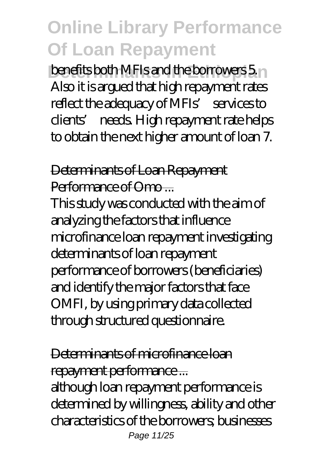**benefits both MFIs and the borrowers 5.** Also it is argued that high repayment rates reflect the adequacy of MFIs' services to clients' needs. High repayment rate helps to obtain the next higher amount of loan 7.

Determinants of Loan Repayment Performance of Omo-

This study was conducted with the aim of analyzing the factors that influence microfinance loan repayment investigating determinants of loan repayment performance of borrowers (beneficiaries) and identify the major factors that face OMFI, by using primary data collected through structured questionnaire.

Determinants of microfinance loan repayment performance ...

although loan repayment performance is determined by willingness, ability and other characteristics of the borrowers; businesses Page 11/25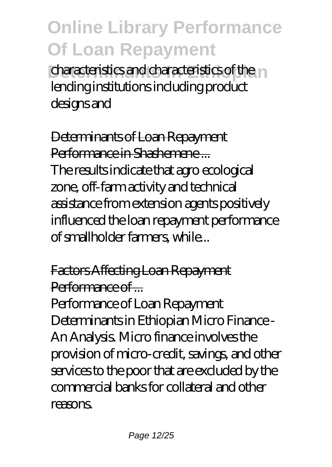characteristics and characteristics of the lending institutions including product designs and

Determinants of Loan Repayment Performance in Shashemene ... The results indicate that agro ecological zone, off-farm activity and technical assistance from extension agents positively influenced the loan repayment performance of smallholder farmers, while...

#### Factors Affecting Loan Repayment Performance of ....

Performance of Loan Repayment Determinants in Ethiopian Micro Finance - An Analysis. Micro finance involves the provision of micro-credit, savings, and other services to the poor that are excluded by the commercial banks for collateral and other reasons.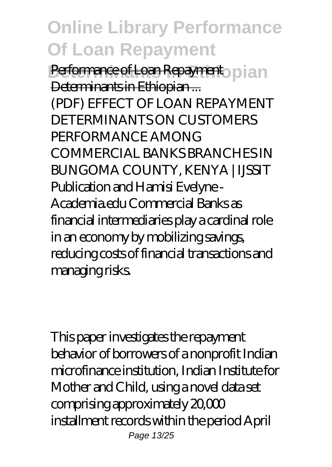**Performance of Loan Repayment** pian Determinants in Ethiopian ... (PDF) EFFECT OF LOAN REPAYMENT DETERMINANTS ON CUSTOMERS PERFORMANCE AMONG COMMERCIAL BANKS BRANCHES IN BUNGOMA COUNTY, KENYA | IJSSIT Publication and Hamisi Evelyne - Academia.edu Commercial Banks as financial intermediaries play a cardinal role in an economy by mobilizing savings, reducing costs of financial transactions and managing risks.

This paper investigates the repayment behavior of borrowers of a nonprofit Indian microfinance institution, Indian Institute for Mother and Child, using a novel data set comprising approximately 20,000 installment records within the period April Page 13/25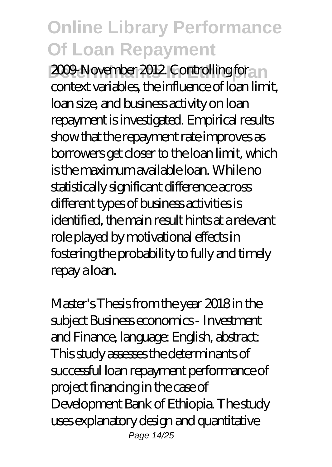2009-November 2012. Controlling for n context variables, the influence of loan limit, loan size, and business activity on loan repayment is investigated. Empirical results show that the repayment rate improves as borrowers get closer to the loan limit, which is the maximum available loan. While no statistically significant difference across different types of business activities is identified, the main result hints at a relevant role played by motivational effects in fostering the probability to fully and timely repay a loan.

Master's Thesis from the year 2018 in the subject Business economics - Investment and Finance, language: English, abstract: This study assesses the determinants of successful loan repayment performance of project financing in the case of Development Bank of Ethiopia. The study uses explanatory design and quantitative Page 14/25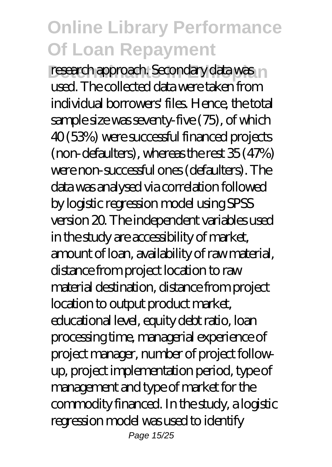research approach. Secondary data was in used. The collected data were taken from individual borrowers' files. Hence, the total sample size was seventy-five (75), of which 40 (53%) were successful financed projects (non-defaulters), whereas the rest 35 (47%) were non-successful ones (defaulters). The data was analysed via correlation followed by logistic regression model using SPSS version 20. The independent variables used in the study are accessibility of market, amount of loan, availability of raw material, distance from project location to raw material destination, distance from project location to output product market, educational level, equity debt ratio, loan processing time, managerial experience of project manager, number of project followup, project implementation period, type of management and type of market for the commodity financed. In the study, a logistic regression model was used to identify Page 15/25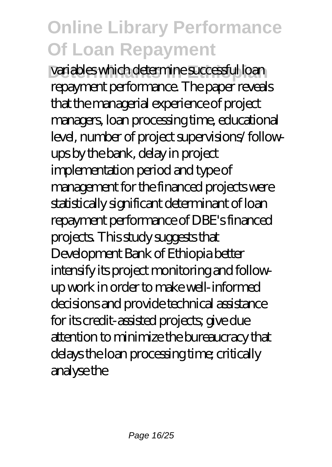variables which determine successful loan repayment performance. The paper reveals that the managerial experience of project managers, loan processing time, educational level, number of project supervisions/ followups by the bank, delay in project implementation period and type of management for the financed projects were statistically significant determinant of loan repayment performance of DBE's financed projects. This study suggests that Development Bank of Ethiopia better intensify its project monitoring and followup work in order to make well-informed decisions and provide technical assistance for its credit-assisted projects; give due attention to minimize the bureaucracy that delays the loan processing time; critically analyse the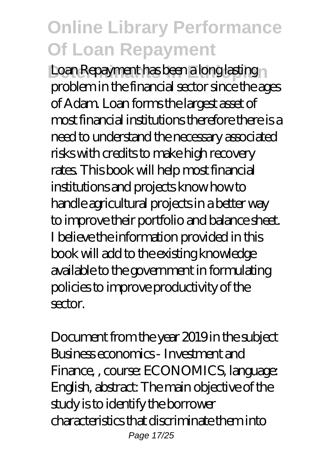**Loan Repayment has been a long lasting** problem in the financial sector since the ages of Adam. Loan forms the largest asset of most financial institutions therefore there is a need to understand the necessary associated risks with credits to make high recovery rates. This book will help most financial institutions and projects know how to handle agricultural projects in a better way to improve their portfolio and balance sheet. I believe the information provided in this book will add to the existing knowledge available to the government in formulating policies to improve productivity of the sector.

Document from the year 2019 in the subject Business economics - Investment and Finance, , course: ECONOMICS, language: English, abstract: The main objective of the study is to identify the borrower characteristics that discriminate them into Page 17/25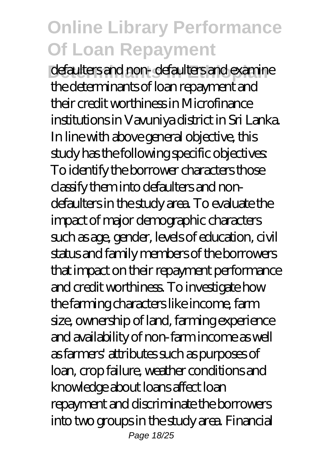defaulters and non- defaulters and examine the determinants of loan repayment and their credit worthiness in Microfinance institutions in Vavuniya district in Sri Lanka. In line with above general objective, this study has the following specific objectives: To identify the borrower characters those classify them into defaulters and nondefaulters in the study area. To evaluate the impact of major demographic characters such as age, gender, levels of education, civil status and family members of the borrowers that impact on their repayment performance and credit worthiness. To investigate how the farming characters like income, farm size, ownership of land, farming experience and availability of non-farm income as well as farmers' attributes such as purposes of loan, crop failure, weather conditions and knowledge about loans affect loan repayment and discriminate the borrowers into two groups in the study area. Financial Page 18/25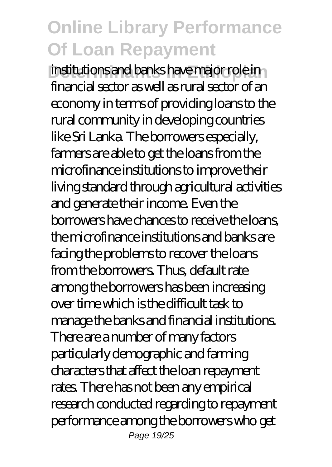institutions and banks have major role in financial sector as well as rural sector of an economy in terms of providing loans to the rural community in developing countries like Sri Lanka. The borrowers especially, farmers are able to get the loans from the microfinance institutions to improve their living standard through agricultural activities and generate their income. Even the borrowers have chances to receive the loans, the microfinance institutions and banks are facing the problems to recover the loans from the borrowers. Thus, default rate among the borrowers has been increasing over time which is the difficult task to manage the banks and financial institutions. There are a number of many factors particularly demographic and farming characters that affect the loan repayment rates. There has not been any empirical research conducted regarding to repayment performance among the borrowers who get Page 19/25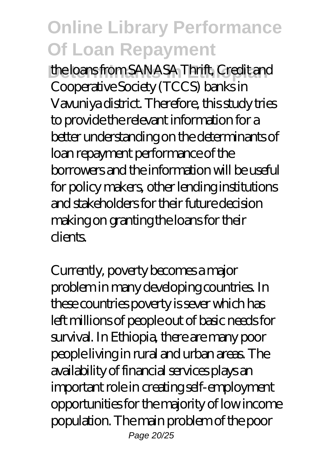the loans from SANASA Thrift, Credit and Cooperative Society (TCCS) banks in Vavuniya district. Therefore, this study tries to provide the relevant information for a better understanding on the determinants of loan repayment performance of the borrowers and the information will be useful for policy makers, other lending institutions and stakeholders for their future decision making on granting the loans for their clients.

Currently, poverty becomes a major problem in many developing countries. In these countries poverty is sever which has left millions of people out of basic needs for survival. In Ethiopia, there are many poor people living in rural and urban areas. The availability of financial services plays an important role in creating self-employment opportunities for the majority of low income population. The main problem of the poor Page 20/25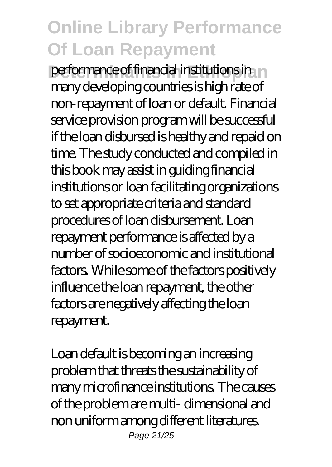performance of financial institutions in m many developing countries is high rate of non-repayment of loan or default. Financial service provision program will be successful if the loan disbursed is healthy and repaid on time. The study conducted and compiled in this book may assist in guiding financial institutions or loan facilitating organizations to set appropriate criteria and standard procedures of loan disbursement. Loan repayment performance is affected by a number of socioeconomic and institutional factors. While some of the factors positively influence the loan repayment, the other factors are negatively affecting the loan repayment.

Loan default is becoming an increasing problem that threats the sustainability of many microfinance institutions. The causes of the problem are multi- dimensional and non uniform among different literatures. Page 21/25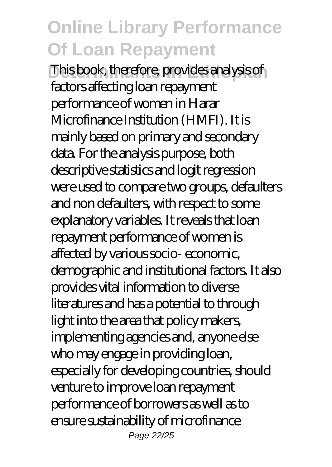This book, therefore, provides analysis of factors affecting loan repayment performance of women in Harar Microfinance Institution (HMFI). It is mainly based on primary and secondary data. For the analysis purpose, both descriptive statistics and logit regression were used to compare two groups, defaulters and non defaulters, with respect to some explanatory variables. It reveals that loan repayment performance of women is affected by various socio- economic, demographic and institutional factors. It also provides vital information to diverse literatures and has a potential to through light into the area that policy makers, implementing agencies and, anyone else who may engage in providing loan, especially for developing countries, should venture to improve loan repayment performance of borrowers as well as to ensure sustainability of microfinance Page 22/25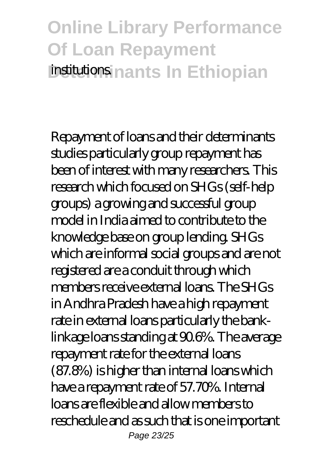### **Online Library Performance Of Loan Repayment institutions nants In Ethiopian**

Repayment of loans and their determinants studies particularly group repayment has been of interest with many researchers. This research which focused on SHGs (self-help groups) a growing and successful group model in India aimed to contribute to the knowledge base on group lending. SHGs which are informal social groups and are not registered are a conduit through which members receive external loans. The SHGs in Andhra Pradesh have a high repayment rate in external loans particularly the banklinkage loans standing at 90.6%. The average repayment rate for the external loans (87.8%) is higher than internal loans which have a repayment rate of 57.70%. Internal loans are flexible and allow members to reschedule and as such that is one important Page 23/25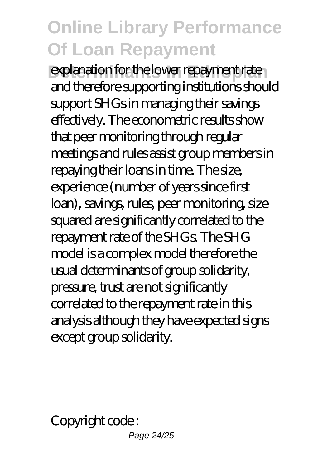explanation for the lower repayment rate and therefore supporting institutions should support SHGs in managing their savings effectively. The econometric results show that peer monitoring through regular meetings and rules assist group members in repaying their loans in time. The size, experience (number of years since first loan), savings, rules, peer monitoring, size squared are significantly correlated to the repayment rate of the SHGs. The SHG model is a complex model therefore the usual determinants of group solidarity, pressure, trust are not significantly correlated to the repayment rate in this analysis although they have expected signs except group solidarity.

Copyright code :